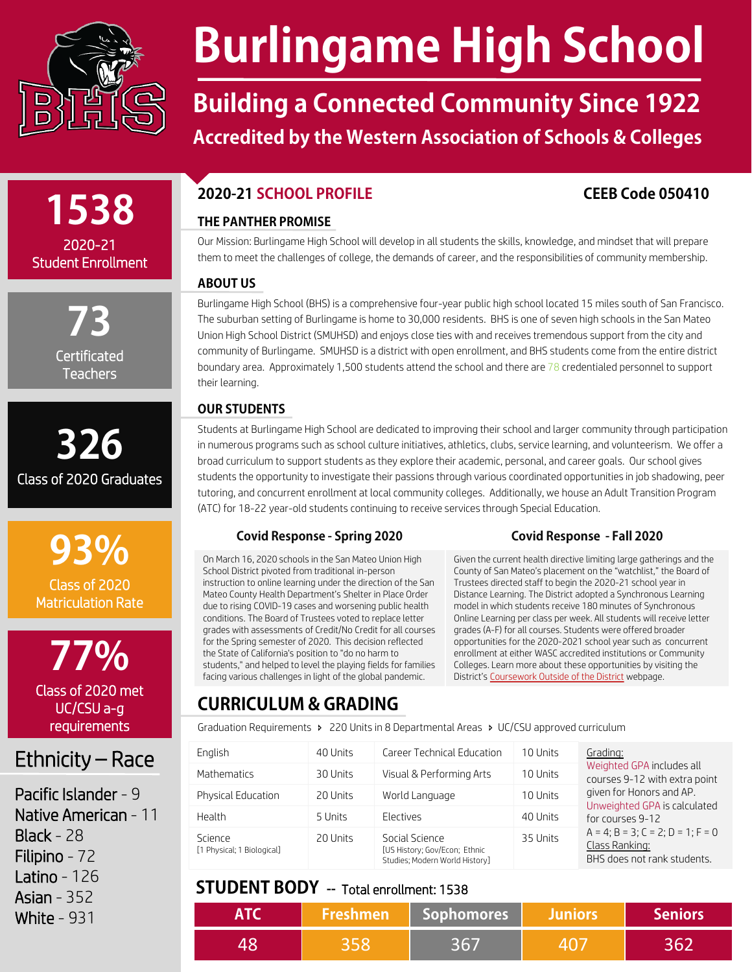

# **Burlingame High School**

## **Building a Connected Community Since 1922 Accredited by the Western Association of Schools & Colleges**

# **1538** 2020-21

Student Enrollment

**73 Certificated Teachers** 

**326** Class of 2020 Graduates



**77%** Class of 2020 met UC/CSU a-g requirements

## Ethnicity – Race

Pacific Islander - 9 Native American - 11 Black - 28 Filipino - 72 Latino - 126 Asian - 352 White - 931

## **2020-21 SCHOOL PROFILE CEEB Code 050410**

### **THE PANTHER PROMISE**

Our Mission: Burlingame High School will develop in all students the skills, knowledge, and mindset that will prepare them to meet the challenges of college, the demands of career, and the responsibilities of community membership.

### **ABOUT US**

Burlingame High School (BHS) is a comprehensive four-year public high school located 15 miles south of San Francisco. The suburban setting of Burlingame is home to 30,000 residents. BHS is one of seven high schools in the San Mateo Union High School District (SMUHSD) and enjoys close ties with and receives tremendous support from the city and community of Burlingame. SMUHSD is a district with open enrollment, and BHS students come from the entire district boundary area. Approximately 1,500 students attend the school and there are 78 credentialed personnel to support their learning.

## **OUR STUDENTS**

Students at Burlingame High School are dedicated to improving their school and larger community through participation in numerous programs such as school culture initiatives, athletics, clubs, service learning, and volunteerism. We offer a broad curriculum to support students as they explore their academic, personal, and career goals. Our school gives students the opportunity to investigate their passions through various coordinated opportunities in job shadowing, peer tutoring, and concurrent enrollment at local community colleges. Additionally, we house an Adult Transition Program (ATC) for 18-22 year-old students continuing to receive services through Special Education.

### **Covid Response - Spring 2020 Covid Response - Fall 2020**

On March 16, 2020 schools in the San Mateo Union High School District pivoted from traditional in-person instruction to online learning under the direction of the San Mateo County Health Department's Shelter in Place Order due to rising COVID-19 cases and worsening public health conditions. The Board of Trustees voted to replace letter grades with assessments of Credit/No Credit for all courses for the Spring semester of 2020. This decision reflected the State of California's position to "do no harm to students," and helped to level the playing fields for families facing various challenges in light of the global pandemic.

Given the current health directive limiting large gatherings and the County of San Mateo's placement on the "watchlist," the Board of Trustees directed staff to begin the 2020-21 school year in Distance Learning. The District adopted a Synchronous Learning model in which students receive 180 minutes of Synchronous Online Learning per class per week. All students will receive letter grades (A-F) for all courses. Students were offered broader opportunities for the 2020-2021 school year such as concurrent enrollment at either WASC accredited institutions or Community Colleges. Learn more about these opportunities by visiting the District's [Coursework Outside of the District](https://www.smuhsd.org/Page/13308) webpage.

## **CURRICULUM & GRADING**

Graduation Requirements  $\rightarrow$  220 Units in 8 Departmental Areas  $\rightarrow$  UC/CSU approved curriculum

| English                               | 40 Units | Career Technical Education                                                        | 10 Units | Grading:                                                                                                               |  |
|---------------------------------------|----------|-----------------------------------------------------------------------------------|----------|------------------------------------------------------------------------------------------------------------------------|--|
| Mathematics                           | 30 Units | Visual & Performing Arts                                                          | 10 Units | Weighted GPA includes all<br>courses 9-12 with extra point<br>given for Honors and AP.<br>Unweighted GPA is calculated |  |
| <b>Physical Education</b>             | 20 Units | World Language                                                                    | 10 Units |                                                                                                                        |  |
| Health                                | 5 Units  | Electives                                                                         | 40 Units | for courses 9-12                                                                                                       |  |
| Science<br>[1 Physical; 1 Biological] | 20 Units | Social Science<br>[US History; Gov/Econ; Ethnic<br>Studies; Modern World History] | 35 Units | $A = 4$ ; $B = 3$ ; $C = 2$ ; $D = 1$ ; $F = 0$<br>Class Ranking:<br>BHS does not rank students.                       |  |

## **STUDENT BODY** -- Total enrollment: 1538

| <b>Freshmen</b> | Sophomores | <b>Juniors</b> | <b>Seniors</b> |
|-----------------|------------|----------------|----------------|
|                 |            |                |                |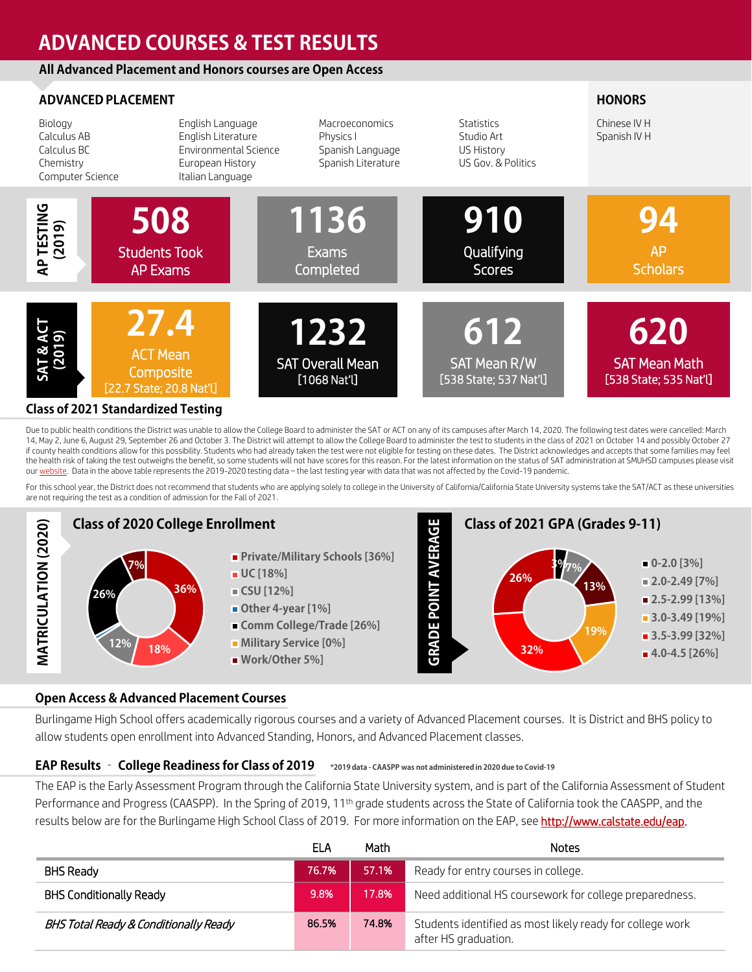## **ADVANCED COURSES & TEST RESULTS**

#### **All Advanced Placement and Honors courses are Open Access**

|                                                                        | <b>ADVANCED PLACEMENT</b>                                                                               |                                                                       |                                                                     | <b>HONORS</b>                                  |
|------------------------------------------------------------------------|---------------------------------------------------------------------------------------------------------|-----------------------------------------------------------------------|---------------------------------------------------------------------|------------------------------------------------|
| Biology<br>Calculus AB<br>Calculus BC<br>Chemistry<br>Computer Science | English Language<br>English Literature<br>Environmental Science<br>European History<br>Italian Language | Macroeconomics<br>Physics I<br>Spanish Language<br>Spanish Literature | <b>Statistics</b><br>Studio Art<br>US History<br>US Gov. & Politics | Chinese IV H<br>Spanish IV H                   |
| AP TESTING<br>(2019)                                                   | 508<br><b>Students Took</b><br><b>AP Exams</b>                                                          | 1136<br><b>Exams</b><br>Completed                                     | 910<br>Qualifying<br><b>Scores</b>                                  | <b>AP</b><br><b>Scholars</b>                   |
| <b>SAT &amp; AC</b><br>(2019)                                          | 27.4<br><b>ACT Mean</b><br>Composite<br>[22.7 State; 20.8 Nat'l]                                        | 1232<br><b>SAT Overall Mean</b><br>$[1068$ Nat'l]                     | 612<br>SAT Mean R/W<br>[538 State; 537 Nat'l]                       | 620<br><b>SAT Mean Ma</b><br>[538 State; 535 I |

#### **Class of 2021 Standardized Testing**

Due to public health conditions the District was unable to allow the College Board to administer the SAT or ACT on any of its campuses after March 14, 2020. The following test dates were cancelled: March 14, May 2, June 6, August 29, September 26 and October 3. The District will attempt to allow the College Board to administer the test to students in the class of 2021 on October 14 and possibly October 27 if county health conditions allow for this possibility. Students who had already taken the test were not eligible for testing on these dates. The District acknowledges and accepts that some families may feel the health risk of taking the test outweighs the benefit, so some students will not have scores for this reason. For the latest information on the status of SAT administration at SMUHSD campuses please visit our [website](https://www.smuhsd.org/Page/12146). Data in the above table represents the 2019-2020 testing data - the last testing year with data that was not affected by the Covid-19 pandemic.

ith  $\text{Sat}$ 

For this school year, the District does not recommend that students who are applying solely to college in the University of California/California State University systems take the SAT/ACT as these universities are not requiring the test as a condition of admission for the Fall of 2021.



#### **Open Access & Advanced Placement Courses**

Burlingame High School offers academically rigorous courses and a variety of Advanced Placement courses. It is District and BHS policy to

#### **EAP Results – College Readiness for Class of 2019 \*2019 data - CAASPP was not administered in 2020 due to Covid-19**

The EAP is the Early Assessment Program through the California State University system, and is part of the California Assessment of Student Performance and Progress (CAASPP). In the Spring of 2019, 11<sup>th</sup> grade students across the State of California took the CAASPP, and the results below are for the Burlingame High School Class of 2019. For more information on the EAP, see <http://www.calstate.edu/eap>.

|                                       | ELA   | Math  | <b>Notes</b>                                                                      |
|---------------------------------------|-------|-------|-----------------------------------------------------------------------------------|
| BHS Ready                             | 76.7% | 57.1% | Ready for entry courses in college.                                               |
| <b>BHS Conditionally Ready</b>        | 9.8%  | 17.8% | Need additional HS coursework for college preparedness.                           |
| BHS Total Ready & Conditionally Ready | 86.5% | 74.8% | Students identified as most likely ready for college work<br>after HS graduation. |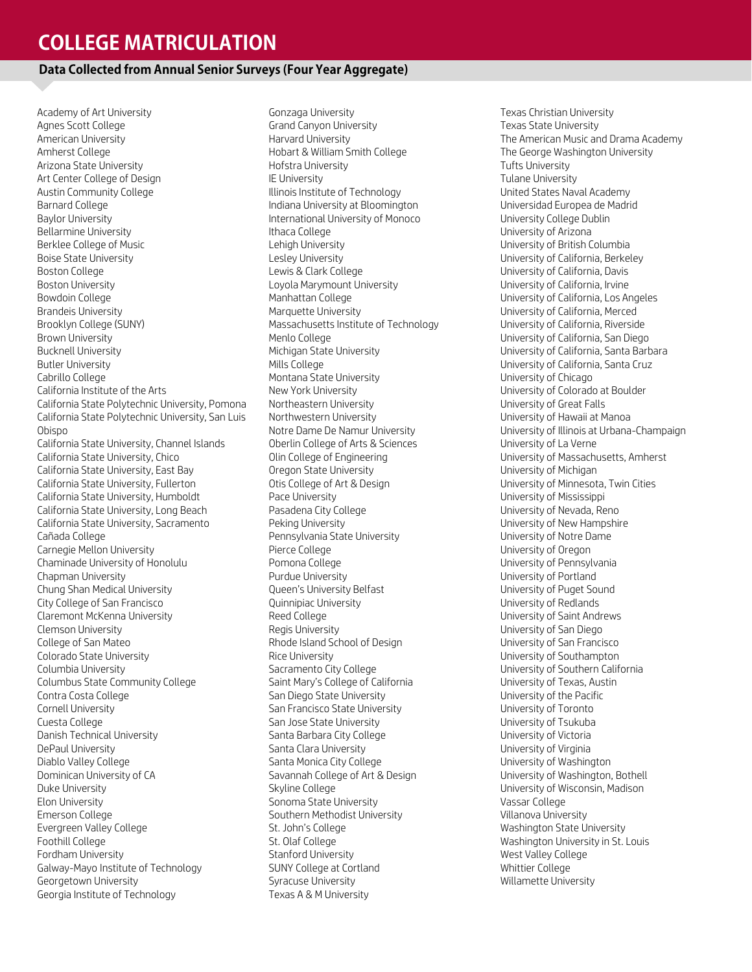## **COLLEGE MATRICULATION**

#### **Data Collected from Annual Senior Surveys (Four Year Aggregate)**

Academy of Art University Agnes Scott College American University Amherst College Arizona State University Art Center College of Design Austin Community College Barnard College Baylor University Bellarmine University Berklee College of Music Boise State University Boston College Boston University Bowdoin College Brandeis University Brooklyn College (SUNY) Brown University Bucknell University Butler University Cabrillo College California Institute of the Arts California State Polytechnic University, Pomona California State Polytechnic University, San Luis Obispo California State University, Channel Islands California State University, Chico California State University, East Bay California State University, Fullerton California State University, Humboldt California State University, Long Beach California State University, Sacramento Cañada College Carnegie Mellon University Chaminade University of Honolulu Chapman University Chung Shan Medical University City College of San Francisco Claremont McKenna University Clemson University College of San Mateo Colorado State University Columbia University Columbus State Community College Contra Costa College Cornell University Cuesta College Danish Technical University DePaul University Diablo Valley College Dominican University of CA Duke University Elon University Emerson College Evergreen Valley College Foothill College Fordham University Galway-Mayo Institute of Technology Georgetown University Georgia Institute of Technology

Gonzaga University Grand Canyon University Harvard University Hobart & William Smith College Hofstra University IE University Illinois Institute of Technology Indiana University at Bloomington International University of Monoco Ithaca College Lehigh University Lesley University Lewis & Clark College Loyola Marymount University Manhattan College Marquette University Massachusetts Institute of Technology Menlo College Michigan State University Mills College Montana State University New York University Northeastern University Northwestern University Notre Dame De Namur University Oberlin College of Arts & Sciences Olin College of Engineering Oregon State University Otis College of Art & Design Pace University Pasadena City College Peking University Pennsylvania State University Pierce College Pomona College Purdue University Queen's University Belfast Quinnipiac University Reed College Regis University Rhode Island School of Design Rice University Sacramento City College Saint Mary's College of California San Diego State University San Francisco State University San Jose State University Santa Barbara City College Santa Clara University Santa Monica City College Savannah College of Art & Design Skyline College Sonoma State University Southern Methodist University St. John's College St. Olaf College Stanford University SUNY College at Cortland Syracuse University Texas A & M University

Texas Christian University Texas State University The American Music and Drama Academy The George Washington University Tufts University Tulane University United States Naval Academy Universidad Europea de Madrid University College Dublin University of Arizona University of British Columbia University of California, Berkeley University of California, Davis University of California, Irvine University of California, Los Angeles University of California, Merced University of California, Riverside University of California, San Diego University of California, Santa Barbara University of California, Santa Cruz University of Chicago University of Colorado at Boulder University of Great Falls University of Hawaii at Manoa University of Illinois at Urbana-Champaign University of La Verne University of Massachusetts, Amherst University of Michigan University of Minnesota, Twin Cities University of Mississippi University of Nevada, Reno University of New Hampshire University of Notre Dame University of Oregon University of Pennsylvania University of Portland University of Puget Sound University of Redlands University of Saint Andrews University of San Diego University of San Francisco University of Southampton University of Southern California University of Texas, Austin University of the Pacific University of Toronto University of Tsukuba University of Victoria University of Virginia University of Washington University of Washington, Bothell University of Wisconsin, Madison Vassar College Villanova University Washington State University Washington University in St. Louis West Valley College Whittier College Willamette University